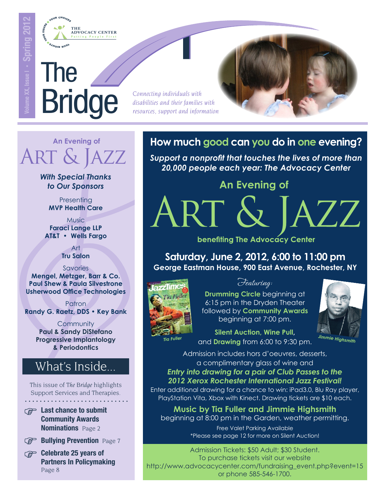

# The Bridge

ou<sub>R Rug</sub>

*Connecting individuals with disabilities and their families with resources, support and information*

ART (



# $ART$ & J **An Evening of**

*With Special Thanks to Our Sponsors*

**Presenting MVP Health Care**

Music **Faraci Lange LLP AT&T • Wells Fargo** 

> Art **Tru Salon**

**Savories** 

**Mengel, Metzger, Barr & Co. Paul Shew & Paula Silvestrone Usherwood Office Technologies** 

Patron **Randy G. Raetz, DDS • Key Bank** 

> **Community Paul & Sandy DiStefano Progressive Implantology & Periodontics**

# What's Inside...

This issue of *The Bridge* highlights Support Services and Therapies.

 $\circledcirc$  Last chance to submit

Community Awards **Nominations** Page 2



**Bullying Prevention** Page 7

Celebrate 25 years of Partners In Policymaking Page 8

## **How much good can you do in one evening?**

*Support a nonprofit that touches the lives of more than 20,000 people each year: The Advocacy Center*

### **An Evening of**

benefiting The Advocacy Center

**Saturday, June 2, 2012, 6:00 to 11:00 pm George Eastman House, 900 East Avenue, Rochester, NY**



Featuring:

**Drumming Circle** beginning at 6:15 pm in the Dryden Theater followed by **Community Awards** beginning at 7:00 pm.



*AZZ* 

*Tia Fuller*

**Silent Auction, Wine Pull,**  and **Drawing** from 6:00 to 9:30 pm.

Admission includes hors d'oeuvres, desserts, a complimentary glass of wine and *Entry into drawing for a pair of Club Passes to the 2012 Xerox Rochester International Jazz Festival!* 

Enter additional drawing for a chance to win: iPad3.0, Blu Ray player, PlayStation Vita, Xbox with Kinect. Drawing tickets are \$10 each.

**Music by Tia Fuller and Jimmie Highsmith**  beginning at 8:00 pm in the Garden, weather permitting.

> Free Valet Parking Available \*Please see page 12 for more on Silent Auction!

or phone 585-546-1700. Admission Tickets: \$50 Adult; \$30 Student. To purchase tickets visit our website [http://www.advocacycenter.com/fundraising\\_event.php?event=15](http://www.advocacycenter.com/fundraising_event.php?event=15)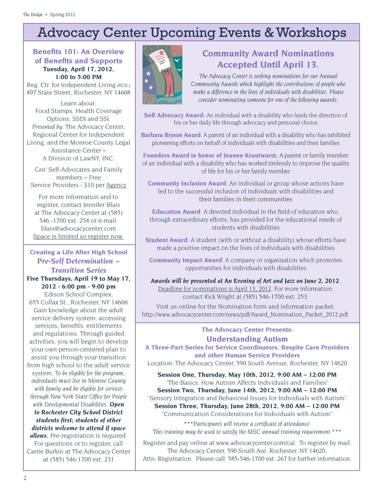# Advocacy Center Upcoming Events & Workshops

#### **Bene�ts 101: An Overview of Bene�ts and Supports Tuesday, April 17, 2012, 1:00 to 5:00 PM**

Reg. Ctr. for Independent Living (RCIL) 497 State Street, Rochester, NY 14608

Learn about: Food Stamps, Health Coverage Options, SSDI and SSI. *Presented by:* The Advocacy Center, Regional Center for Independent Living, and the Monroe County Legal Assistance Center – A Division of LawNY, INC.

*Cost:* Self-Advocates and Family members – Free Service Providers - \$10 per Agency

For more information and to register, contact Jennifer Blais at The Advocacy Center at (585) 546 -1700 ext. 254 or e-mail: blais@advocacycenter.com Space is limited so register now.

### **Creating a Life After High School**  *Pre-Self Determination ~ Transition Series*

**Five Thursdays, April 19 to May 17, 2012 - 6:00 pm - 9:00 pm**

Edison School Complex, 655 Colfax St., Rochester, NY 14606 Gain knowledge about the adult service delivery system, accessing services, benefits, entitlements and regulations. Through guided activities, you will begin to develop your own person-centered plan to assist you through your transition from high school to the adult service system. *To be eligible for the program, individuals must live in Monroe County with family and be eligible for services through New York State Of�ce for People with Developmental Disabilities. Open to Rochester City School District students �rst; students of other districts welcome to attend if space allows.* Pre-registration is required. For questions or to register, call Carrie Burkin at The Advocacy Center at (585) 546-1700 ext. 231



### **Community Award Nominations Accepted Until April 13.**

*The Advocacy Center is seeking nominations for our Annual Community Awards which highlight the contributions of people who make a difference in the lives of individuals with disabilities. Please consider nominating someone for one of the following awards:* 

**Self Advocacy Award:** An individual with a disability who leads the direction of his or her daily life through advocacy and personal choice

**Barbara Bryson Award**: A parent of an individual with a disability who has exhibited pioneering efforts on behalf of individuals with disabilities and their families

**Founders Award in honor of Jeanne Krautwurst:** A parent or family member of an individual with a disability who has worked tirelessly to improve the quality of life for his or her family member

**Community Inclusion Award**: An individual or group whose actions have led to the successful inclusion of individuals with disabilities and their families in their communities

**Education Award**: A devoted individual in the field of education who, through extraordinary efforts, has provided for the educational needs of students with disabilities

**Student Award**: A student (with or without a disability) whose efforts have made a positive impact on the lives of individuals with disabilities

**Community Impact Award**: A company or organization which promotes opportunities for individuals with disabilities

*Awards will be presented at An Evening of Art and Jazz on June 2, 2012.* Deadline for nominations is April 13, 2012. For more information, contact Rick Wright at (585) 546-1700 ext. 253.

Visit us online for the Nomination form and information packet: http://www.advocacycenter.com/news/pdf/Award\_Nomination\_Packet\_2012.pdf.

### **The Advocacy Center Presents: Understanding Autism**

**A Three‐Part Series for Service Coordinators, Respite Care Providers and other Human Service Providers** Location: The Advocacy Center, 590 South Avenue, Rochester, NY 14620

**Session One, Thursday, May 10th, 2012, 9:00 AM – 12:00 PM** "The Basics: How Autism Affects Individuals and Families"

**Session Two, Thursday, June 14th, 2012, 9:00 AM – 12:00 PM** "Sensory Integration and Behavioral Issues for Individuals with Autism" **Session Three, Thursday, June 28th, 2012, 9:00 AM – 12:00 PM**

"Communication Considerations for Individuals with Autism"

*\*\*\*Participants will receive a certi�cate of attendance. This training may be used to satisfy the MSC annual training requirement.\*\*\**

Register and pay online at www.advocacycenter.com/cal. To register by mail: The Advocacy Center, 590 South Ave. Rochester, NY 14620, Attn: Registration. Please call 585‐546‐1700 ext. 267 for further information.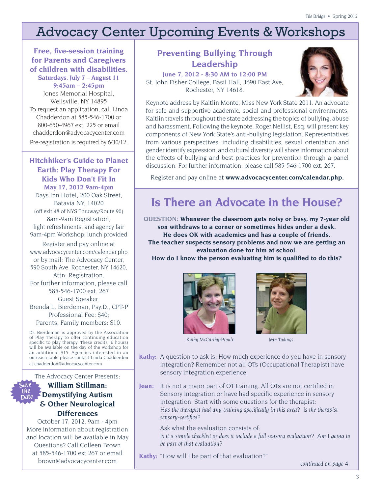# Advocacy Center Upcoming Events & Workshops

**Free, five-session training for Parents and Caregivers of children with disabilities. Saturdays, July 7 – August 11**

**9:45am – 2:45pm** Jones Memorial Hospital, Wellsville, NY 14895 To request an application, call Linda Chadderdon at 585-546-1700 or 800-650-4967 ext. 225 or email chadderdon@advocacycenter.com Pre-registration is required by 6/30/12.

**Hitchhiker's Guide to Planet Earth: Play Therapy For Kids Who Don't Fit In May 17, 2012 9am-4pm** Days Inn Hotel, 200 Oak Street, Batavia NY, 14020 (off exit 48 of NYS Thruway/Route 90) 8am-9am Registration, light refreshments, and agency fair 9am-4pm Workshop; lunch provided

Register and pay online at www.advocacycenter.com/calendar.php or by mail: The Advocacy Center, 590 South Ave. Rochester, NY 14620, Attn: Registration. For further information, please call 585-546-1700 ext. 267 Guest Speaker: Brenda L. Bierdeman, Psy.D., CPT-P Professional Fee: \$40;

Parents, Family members: \$10.

Dr. Bierdeman is approved by the Association of Play Therapy to offer continuing education specific to play therapy. These credits (6 hours) will be available on the day of the workshop for an additional \$15. Agencies interested in an outreach table please contact Linda Chadderdon at chadderdon@advocacycenter.com

The Advocacy Center Presents:

#### *Save the Date* **William Stillman: Demystifying Autism & Other Neurological Differences**

October 17, 2012, 9am - 4pm More information about registration and location will be available in May Questions? Call Colleen Brown at 585-546-1700 ext 267 or email brown@advocacycenter.com

### **Preventing Bullying Through Leadership**

**June 7, 2012 - 8:30 AM to 12:00 PM**  St. John Fisher College, Basil Hall, 3690 East Ave, Rochester, NY 14618.



Keynote address by Kaitlin Monte, Miss New York State 2011. An advocate for safe and supportive academic, social and professional environments, Kaitlin travels throughout the state addressing the topics of bullying, abuse and harassment. Following the keynote, Roger Nellist, Esq. will present key components of New York State's anti-bullying legislation. Representatives from various perspectives, including disabilities, sexual orientation and gender identify expression, and cultural diversity will share information about the effects of bullying and best practices for prevention through a panel discussion. For further information, please call 585‐546‐1700 ext. 267.

Register and pay online at **www.advocacycenter.com/calendar.php.** 

# **Is There an Advocate in the House?**

**QUESTION: Whenever the classroom gets noisy or busy, my 7-year old son withdraws to a corner or sometimes hides under a desk. He does OK with academics and has a couple of friends. The teacher suspects sensory problems and now we are getting an evaluation done for him at school.** 

**How do I know the person evaluating him is quali�ed to do this?** 





*Kathy McCarthy-Proulx Jean Tydings*

- **Kathy:** A question to ask is: How much experience do you have in sensory integration? Remember not all OTs (Occupational Therapist) have sensory integration experience.
- **Jean:** It is not a major part of OT training. All OTs are not certified in Sensory Integration or have had specific experience in sensory integration. Start with some questions for the therapist: *Has the therapist had any training speci�cally in this area? Is the therapist sensory-certi�ed?*

Ask what the evaluation consists of: *Is it a simple checklist or does it include a full sensory evaluation? Am I going to be part of that evaluation?* 

**Kathy:** "How will I be part of that evaluation?"

*continued on page 4*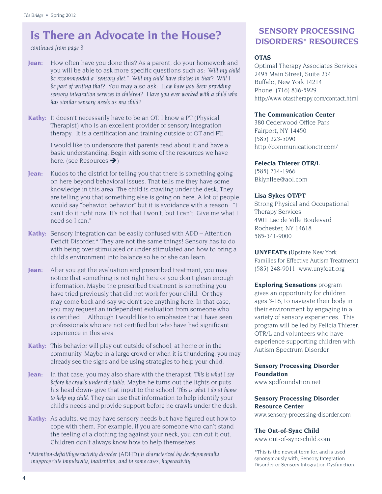### **Is There an Advocate in the House?**

#### *continued from page 3*

- **Jean:** How often have you done this? As a parent, do your homework and you will be able to ask more speci�c questions such as: *Will my child be recommended a "sensory diet." Will my child have choices in that? Will I be part of writing that?* You may also ask: *How have you been providing sensory integration services to children? Have you ever worked with a child who has similar sensory needs as my child?*
- **Kathy:** It doesn't necessarily have to be an OT. I know a PT (Physical Therapist) who is an excellent provider of sensory integration therapy. It is a certification and training outside of OT and PT.

I would like to underscore that parents read about it and have a basic understanding. Begin with some of the resources we have here. (see Resources  $\rightarrow$ )

- **Jean:** Kudos to the district for telling you that there is something going on here beyond behavioral issues. That tells me they have some knowledge in this area. The child is crawling under the desk. They are telling you that something else is going on here. A lot of people would say "behavior, behavior" but it is avoidance with a reason: "I can't do it right now. It's not that I won't, but I can't. Give me what I need so I can."
- **Kathy:** Sensory Integration can be easily confused with ADD Attention Deficit Disorder.\* They are not the same things! Sensory has to do with being over stimulated or under stimulated and how to bring a child's environment into balance so he or she can learn.
- **Jean:** After you get the evaluation and prescribed treatment, you may notice that something is not right here or you don't glean enough information. Maybe the prescribed treatment is something you have tried previously that did not work for your child. Or they may come back and say we don't see anything here. In that case, you may request an independent evaluation from someone who is certified... Although I would like to emphasize that I have seen professionals who are not certified but who have had significant experience in this area
- **Kathy:** This behavior will play out outside of school, at home or in the community. Maybe in a large crowd or when it is thundering, you may already see the signs and be using strategies to help your child.
- **Jean:** In that case, you may also share with the therapist, *This is what I see before he crawls under the table.* Maybe he turns out the lights or puts his head down- give that input to the school. *This is what I do at home to help my child.* They can use that information to help identify your child's needs and provide support before he crawls under the desk.
- Kathy: As adults, we may have sensory needs but have figured out how to cope with them. For example, if you are someone who can't stand the feeling of a clothing tag against your neck, you can cut it out. Children don't always know how to help themselves.
- *\*Attention-de�cit/hyperactivity disorder (ADHD) is characterized by developmentally inappropriate impulsivity, inattention, and in some cases, hyperactivity.*

### **SENSORY PROCESSING DISORDERS\* RESOURCES**

#### **OTAS**

Optimal Therapy Associates Services 2495 Main Street, Suite 234 Buffalo, New York 14214 Phone: (716) 836-5929 http://www.otastherapy.com/contact.html

#### **The Communication Center**

380 Cederwood Office Park Fairport, NY 14450 (585) 223-5090 http://communicationctr.com/

#### **Felecia Thierer OTR/L**

(585) 734-1966 Bklyn�ee@aol.com

#### **Lisa Sykes OT/PT**

Strong Physical and Occupational Therapy Services 4901 Lac de Ville Boulevard Rochester, NY 14618 585-341-9000

**UNYFEAT's (**Upstate New York Families for Effective Autism Treatment) (585) 248-9011 www.unyfeat.org

#### **Exploring Sensations** program

gives an opportunity for children ages 3-16, to navigate their body in their environment by engaging in a variety of sensory experiences. This program will be led by Felicia Thierer, OTR/L and volunteers who have experience supporting children with Autism Spectrum Disorder.

#### **Sensory Processing Disorder Foundation**

www.spdfoundation.net

#### **Sensory Processing Disorder Resource Center**

www.sensory-processing-disorder.com

#### **The Out-of-Sync Child**

www.out-of-sync-child.com

\*This is the newest term for, and is used synonymously with, Sensory Integration Disorder or Sensory Integration Dysfunction.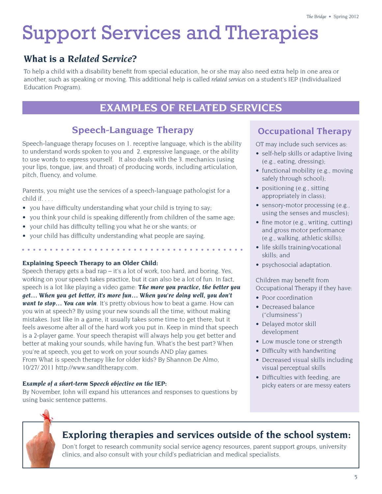# Support Services and Therapies

### **What is a** *Related Service***?**

To help a child with a disability benefit from special education, he or she may also need extra help in one area or another, such as speaking or moving. This additional help is called *related services* on a student's IEP (Individualized Education Program).

### **EXAMPLES OF RELATED SERVICES**

### **Speech-Language Therapy**

Speech-language therapy focuses on 1. receptive language, which is the ability to understand words spoken to you and 2. expressive language, or the ability to use words to express yourself. It also deals with the 3. mechanics (using your lips, tongue, jaw, and throat) of producing words, including articulation, pitch, fluency, and volume.

Parents, you might use the services of a speech-language pathologist for a child if. . . .

- you have difficulty understanding what your child is trying to say;
- you think your child is speaking differently from children of the same age;
- your child has difficulty telling you what he or she wants; or
- your child has difficulty understanding what people are saying.

### **Explaining Speech Therapy to an Older Child:**

Speech therapy gets a bad rap – it's a lot of work, too hard, and boring. Yes, working on your speech takes practice, but it can also be a lot of fun. In fact, speech is a lot like playing a video game: *The more you practice, the better you get… When you get better, it's more fun… When you're doing well, you don't want to stop… You can win*. It's pretty obvious how to beat a game. How can you win at speech? By using your new sounds all the time, without making mistakes. Just like in a game, it usually takes some time to get there, but it feels awesome after all of the hard work you put in. Keep in mind that speech is a 2-player game. Your speech therapist will always help you get better and better at making your sounds, while having fun. What's the best part? When you're at speech, you get to work on your sounds AND play games. From What is speech therapy like for older kids? By Shannon De Almo, 10/27/ 2011 http://www.sandltherapy.com.

### *Example of a short-term Speech objective on the IEP:*

By November, John will expand his utterances and responses to questions by using basic sentence patterns.

### **Occupational Therapy**

OT may include such services as:

- self-help skills or adaptive living (e.g., eating, dressing);
- functional mobility (e.g., moving safely through school);
- positioning (e.g., sitting appropriately in class);
- sensory-motor processing (e.g., using the senses and muscles);
- fine motor (e.g., writing, cutting) and gross motor performance (e.g., walking, athletic skills);
- life skills training/vocational skills; and
- psychosocial adaptation.

Children may benefit from Occupational Therapy if they have:

- Poor coordination
- Decreased balance ("clumsiness")
- Delayed motor skill development
- Low muscle tone or strength
- Difficulty with handwriting
- Decreased visual skills including visual perceptual skills
- Difficulties with feeding, are picky eaters or are messy eaters



### **Exploring therapies and services outside of the school system:**

Don't forget to research community social service agency resources, parent support groups, university clinics, and also consult with your child's pediatrician and medical specialists.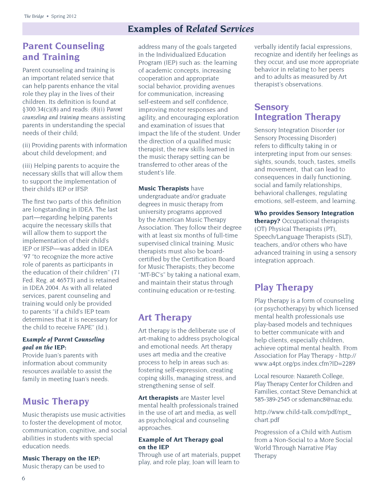### **Examples of** *Related Services*

### **Parent Counseling and Training**

Parent counseling and training is an important related service that can help parents enhance the vital role they play in the lives of their children. Its definition is found at §300.34(c)(8) and reads: (8)(i) *Parent counseling and training* means assisting parents in understanding the special needs of their child;

(ii) Providing parents with information about child development; and

(iii) Helping parents to acquire the necessary skills that will allow them to support the implementation of their child's IEP or IFSP.

The first two parts of this definition are longstanding in IDEA. The last part—regarding helping parents acquire the necessary skills that will allow them to support the implementation of their child's IEP or IFSP—was added in IDEA '97 "to recognize the more active role of parents as participants in the education of their children" (71 Fed. Reg. at 46573) and is retained in IDEA 2004. As with all related services, parent counseling and training would only be provided to parents "if a child's IEP team determines that it is necessary for the child to receive FAPE" (Id.).

#### *Example of Parent Counseling goal on the IEP:*

Provide Juan's parents with information about community resources available to assist the family in meeting Juan's needs.

### **Music Therapy**

Music therapists use music activities to foster the development of motor, communication, cognitive, and social abilities in students with special education needs.

#### **Music Therapy on the IEP:**

Music therapy can be used to

address many of the goals targeted in the Individualized Education Program (IEP) such as: the learning of academic concepts, increasing cooperation and appropriate social behavior, providing avenues for communication, increasing self-esteem and self confidence, improving motor responses and agility, and encouraging exploration and examination of issues that impact the life of the student. Under the direction of a qualified music therapist, the new skills learned in the music therapy setting can be transferred to other areas of the student's life.

#### **Music Therapists** have

undergraduate and/or graduate degrees in music therapy from university programs approved by the American Music Therapy Association. They follow their degree with at least six months of full-time supervised clinical training. Music therapists must also be boardcertified by the Certification Board for Music Therapists; they become "MT-BC's" by taking a national exam, and maintain their status through continuing education or re-testing.

### **Art Therapy**

Art therapy is the deliberate use of art-making to address psychological and emotional needs. Art therapy uses art media and the creative process to help in areas such as: fostering self-expression, creating coping skills, managing stress, and strengthening sense of self.

**Art therapists** are Master level mental health professionals trained in the use of art and media, as well as psychological and counseling approaches.

#### **Example of Art Therapy goal on the IEP**

Through use of art materials, puppet play, and role play, Joan will learn to

verbally identify facial expressions, recognize and identify her feelings as they occur, and use more appropriate behavior in relating to her peers and to adults as measured by Art therapist's observations.

### **Sensory Integration Therapy**

Sensory Integration Disorder (or Sensory Processing Disorder) refers to difficulty taking in or interpreting input from our senses: sights, sounds, touch, tastes, smells and movement, that can lead to consequences in daily functioning, social and family relationships, behavioral challenges, regulating emotions, self-esteem, and learning.

**Who provides Sensory Integration therapy?** Occupational therapists (OT) Physical Therapists (PT), Speech/Language Therapists (SLT), teachers, and/or others who have advanced training in using a sensory integration approach.

### **Play Therapy**

Play therapy is a form of counseling (or psychotherapy) by which licensed mental health professionals use play-based models and techniques to better communicate with and help clients, especially children, achieve optimal mental health. From Association for Play Therapy - http:// www.a4pt.org/ps.index.cfm?ID=2289

Local resource: Nazareth College, Play Therapy Center for Children and Families, contact Steve Demanchick at 585-389-2545 or sdemanc8@naz.edu.

http://www.child-talk.com/pdf/npt\_ chart.pdf

Progression of a Child with Autism from a Non-Social to a More Social World Through Narrative Play Therapy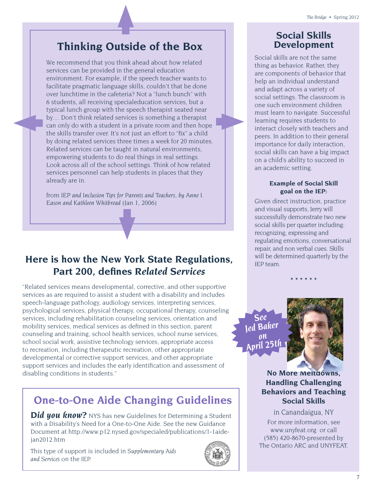## **Thinking Outside of the Box**

We recommend that you think ahead about how related services can be provided in the general education environment. For example, if the speech teacher wants to facilitate pragmatic language skills, couldn't that be done over lunchtime in the cafeteria? Not a "lunch bunch" with 6 students, all receiving specialeducation services, but a typical lunch group with the speech therapist seated near by… Don't think related services is something a therapist can only do with a student in a private room and then hope the skills transfer over. It's not just an effort to "fix" a child by doing related services three times a week for 20 minutes. Related services can be taught in natural environments, empowering students to do real things in real settings. Look across all of the school settings. Think of how related services personnel can help students in places that they already are in.

from *IEP and Inclusion Tips for Parents and Teachers, by Anne I. Eason and Kathleen Whitbread* (Jan 1, 2006)

### **Here is how the New York State Regulations, Part 200, de�nes** *Related Services*

"Related services means developmental, corrective, and other supportive services as are required to assist a student with a disability and includes speech-language pathology, audiology services, interpreting services, psychological services, physical therapy, occupational therapy, counseling services, including rehabilitation counseling services, orientation and mobility services, medical services as defined in this section, parent counseling and training, school health services, school nurse services, school social work, assistive technology services, appropriate access to recreation, including therapeutic recreation, other appropriate developmental or corrective support services, and other appropriate support services and includes the early identification and assessment of disabling conditions in students."

## **One-to-One Aide Changing Guidelines**

**Did you know?** NYS has new Guidelines for Determining a Student with a Disability's Need for a One-to-One Aide. See the new Guidance Document at http://www.p12.nysed.gov/specialed/publications/1-1aidejan2012.htm

This type of support is included in *Supplementary Aids and Services* on the IEP.



### **Social Skills Development**

Social skills are not the same thing as behavior. Rather, they are components of behavior that help an individual understand and adapt across a variety of social settings. The classroom is one such environment children must learn to navigate. Successful learning requires students to interact closely with teachers and peers. In addition to their general importance for daily interaction, social skills can have a big impact on a child's ability to succeed in an academic setting.

### **Example of Social Skill goal on the IEP:**

Given direct instruction, practice and visual supports, Jerry will successfully demonstrate two new social skills per quarter including: recognizing, expressing and regulating emotions, conversational repair, and non verbal cues. Skills will be determined quarterly by the IEP team.

**\* \* \* \* \* \*** 

*See Jed Baker on April 25th*

OFFICE OF P-12 EDUCATION: Office of Special Education STATEWIDE COORDINATOR FOR SPECIAL EDUCATION



**No More Meltdowns, Handling Challenging Behaviors and Teaching Social Skills**

in Canandaigua, NY For more information, see www.unyfeat.org or call (585) 420-8670-presented by **The Ontario ARC and UNYFEAT.** 

Room 309 EB, 89 Washington Avenue � Albany, NY 12234 Telephone (518) 402-3353 www.p12.nysed.gov/specialed/ Fax: (518) 473-5387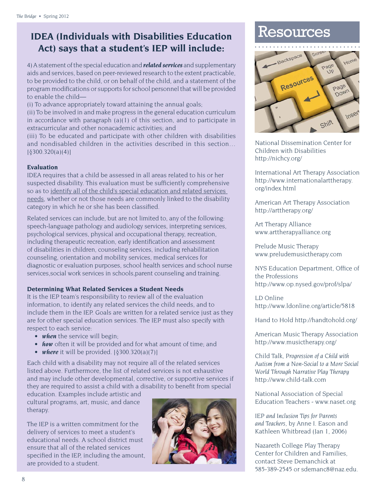# **IDEA (Individuals with Disabilities Education** Resources **Act) says that a student's IEP will include:**

4) A statement of the special education and *related services* and supplementary aids and services, based on peer-reviewed research to the extent practicable, to be provided to the child, or on behalf of the child, and a statement of the program modifications or supports for school personnel that will be provided to enable the child—

(i) To advance appropriately toward attaining the annual goals;

(ii) To be involved in and make progress in the general education curriculum in accordance with paragraph (a)(1) of this section, and to participate in extracurricular and other nonacademic activities; and

(iii) To be educated and participate with other children with disabilities and nondisabled children in the activities described in this section… [§300.320(a)(4)]

#### **Evaluation**

IDEA requires that a child be assessed in all areas related to his or her suspected disability. This evaluation must be sufficiently comprehensive so as to identify all of the child's special education and related services needs, whether or not those needs are commonly linked to the disability category in which he or she has been classified.

Related services can include, but are not limited to, any of the following: speech-language pathology and audiology services, interpreting services, psychological services, physical and occupational therapy, recreation, including therapeutic recreation, early identification and assessment of disabilities in children, counseling services, including rehabilitation counseling, orientation and mobility services, medical services for diagnostic or evaluation purposes, school health services and school nurse services,social work services in schools,parent counseling and training.

#### **Determining What Related Services a Student Needs**

It is the IEP team's responsibility to review all of the evaluation information, to identify any related services the child needs, and to include them in the IEP. Goals are written for a related service just as they are for other special education services. The IEP must also specify with respect to each service:

- *when* the service will begin;
- *how* often it will be provided and for what amount of time; and
- *where* it will be provided. [§300.320(a)(7)]

Each child with a disability may not require all of the related services listed above. Furthermore, the list of related services is not exhaustive and may include other developmental, corrective, or supportive services if they are required to assist a child with a disability to benefit from special

education. Examples include artistic and cultural programs, art, music, and dance therapy.

The IEP is a written commitment for the delivery of services to meet a student's educational needs. A school district must ensure that all of the related services specified in the IEP, including the amount, are provided to a student.





National Dissemination Center for Children with Disabilities http://nichcy.org/

International Art Therapy Association http://www.internationalarttherapy. org/index.html

American Art Therapy Association http://arttherapy.org/

Art Therapy Alliance www.arttherapyalliance.org

Prelude Music Therapy www.preludemusictherapy.com

NYS Education Department, Office of the Professions http://www.op.nysed.gov/prof/slpa/

LD Online http://www.ldonline.org/article/5818

Hand to Hold http://handtohold.org/

American Music Therapy Association http://www.musictherapy.org/

Child Talk, *Progression of a Child with Autism from a Non-Social to a More Social World Through Narrative Play Therapy* http://www.child-talk.com

National Association of Special Education Teachers - www.naset.org

*IEP and Inclusion Tips for Parents and Teachers*, by Anne I. Eason and Kathleen Whitbread (Jan 1, 2006)

Nazareth College Play Therapy Center for Children and Families, contact Steve Demanchick at 585-389-2545 or sdemanc8@naz.edu.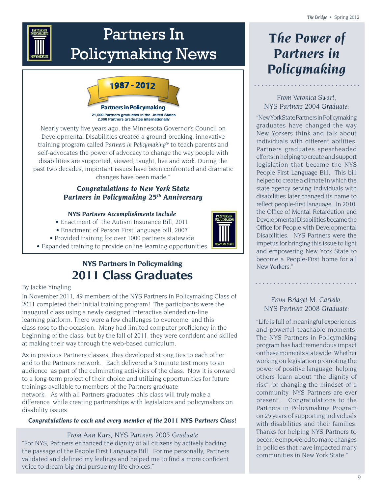| <b>PARTNERS IN</b><br><b>POLICYMAKING</b> |
|-------------------------------------------|
|                                           |
| <b>VEW YORK STATE</b>                     |

# Partners In Policymaking News



Nearly twenty five years ago, the Minnesota Governor's Council on Developmental Disabilities created a ground-breaking, innovative training program called *Partners in Policymaking®* to teach parents and self-advocates the power of advocacy to change the way people with disabilities are supported, viewed, taught, live and work. During the past two decades, important issues have been confronted and dramatic changes have been made."

### *Congratulations to New York State Partners in Policymaking 25th Anniversary*

### *NYS Partners Accomplishments Include*

- Enactment of the Autism Insurance Bill, 2011
- Enactment of Person First language bill, 2007
- Provided training for over 1000 partners statewide
- Expanded training to provide online learning opportunities

### **NYS Partners in Policymaking 2011 Class Graduates**

#### By Jackie Yingling

In November 2011, 49 members of the NYS Partners in Policymaking Class of 2011 completed their initial training program! The participants were the inaugural class using a newly designed interactive blended on-line learning platform. There were a few challenges to overcome; and this class rose to the occasion. Many had limited computer proficiency in the beginning of the class, but by the fall of 2011, they were confident and skilled at making their way through the web-based curriculum.

As in previous Partners classes, they developed strong ties to each other and to the Partners network. Each delivered a 3 minute testimony to an audience as part of the culminating activities of the class. Now it is onward to a long-term project of their choice and utilizing opportunities for future trainings available to members of the Partners graduate network. As with all Partners graduates, this class will truly make a difference while creating partnerships with legislators and policymakers on disability issues.

### *Congratulations to each and every member of the 2011 NYS Partners Class!*

#### *From Ann Kurz, NYS Partners 2005 Graduate*

"For NYS, Partners enhanced the dignity of all citizens by actively backing the passage of the People First Language Bill. For me personally, Partners validated and defined my feelings and helped me to find a more confident voice to dream big and pursue my life choices*."*

# *The Power of Partners in Policymaking*

*From Veronica Swart, NYS Partners 2004 Graduate:*

"New York State Partners in Policymaking graduates have changed the way New Yorkers think and talk about individuals with different abilities. Partners graduates spearheaded efforts in helping to create and support legislation that became the NYS People First Language Bill. This bill helped to create a climate in which the state agency serving individuals with disabilities later changed its name to reflect people-first language. In 2010, the Office of Mental Retardation and Developmental Disabilities became the Office for People with Developmental Disabilities. NYS Partners were the impetus for bringing this issue to light and empowering New York State to become a People-First home for all New Yorkers."

### *From Bridget M. Cariello, NYS Partners 2008 Graduate:*

"Life is full of meaningful experiences and powerful teachable moments. The NYS Partners in Policymaking program has had tremendous impact on these moments statewide. Whether working on legislation promoting the power of positive language, helping others learn about "the dignity of risk", or changing the mindset of a community, NYS Partners are ever present. Congratulations to the Partners in Policymaking Program on 25 years of supporting individuals with disabilities and their families. Thanks for helping NYS Partners to become empowered to make changes in policies that have impacted many communities in New York State."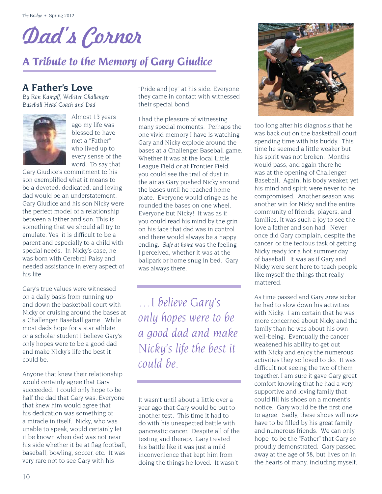# Dad's Corner

# *A Tribute to the Memory of Gary Giudice*

### **A Father's Love**

*By Ron Kampff, Webster Challenger Baseball Head Coach and Dad* 



Almost 13 years ago my life was blessed to have met a "Father" who lived up to every sense of the word. To say that

Gary Giudice's commitment to his son exemplified what it means to be a devoted, dedicated, and loving dad would be an understatement. Gary Giudice and his son Nicky were the perfect model of a relationship between a father and son. This is something that we should all try to emulate. Yes, it is difficult to be a parent and especially to a child with special needs. In Nicky's case, he was born with Cerebral Palsy and needed assistance in every aspect of his life.

Gary's true values were witnessed on a daily basis from running up and down the basketball court with Nicky or cruising around the bases at a Challenger Baseball game. While most dads hope for a star athlete or a scholar student I believe Gary's only hopes were to be a good dad and make Nicky's life the best it could be.

Anyone that knew their relationship would certainly agree that Gary succeeded. I could only hope to be half the dad that Gary was. Everyone that knew him would agree that his dedication was something of a miracle in itself. Nicky, who was unable to speak, would certainly let it be known when dad was not near his side whether it be at flag football, baseball, bowling, soccer, etc. It was very rare not to see Gary with his

"Pride and Joy" at his side. Everyone they came in contact with witnessed their special bond.

I had the pleasure of witnessing many special moments. Perhaps the one vivid memory I have is watching Gary and Nicky explode around the bases at a Challenger Baseball game. Whether it was at the local Little League Field or at Frontier Field you could see the trail of dust in the air as Gary pushed Nicky around the bases until he reached home plate. Everyone would cringe as he rounded the bases on one wheel. Everyone but Nicky! It was as if you could read his mind by the grin on his face that dad was in control and there would always be a happy ending. *Safe at home* was the feeling I perceived, whether it was at the ballpark or home snug in bed. Gary was always there.

*…I believe Gary's only hopes were to be a good dad and make Nicky's life the best it could be.*

It wasn't until about a little over a year ago that Gary would be put to another test. This time it had to do with his unexpected battle with pancreatic cancer. Despite all of the testing and therapy, Gary treated his battle like it was just a mild inconvenience that kept him from doing the things he loved. It wasn't



too long after his diagnosis that he was back out on the basketball court spending time with his buddy. This time he seemed a little weaker but his spirit was not broken. Months would pass, and again there he was at the opening of Challenger Baseball. Again, his body weaker, yet his mind and spirit were never to be compromised. Another season was another win for Nicky and the entire community of friends, players, and families. It was such a joy to see the love a father and son had. Never once did Gary complain, despite the cancer, or the tedious task of getting Nicky ready for a hot summer day of baseball. It was as if Gary and Nicky were sent here to teach people like myself the things that really mattered.

As time passed and Gary grew sicker he had to slow down his activities with Nicky. I am certain that he was more concerned about Nicky and the family than he was about his own well-being. Eventually the cancer weakened his ability to get out with Nicky and enjoy the numerous activities they so loved to do. It was difficult not seeing the two of them together. I am sure it gave Gary great comfort knowing that he had a very supportive and loving family that could fill his shoes on a moment's notice. Gary would be the first one to agree. Sadly, these shoes will now have to be filled by his great family and numerous friends. We can only hope to be the "Father" that Gary so proudly demonstrated. Gary passed away at the age of 58, but lives on in the hearts of many, including myself.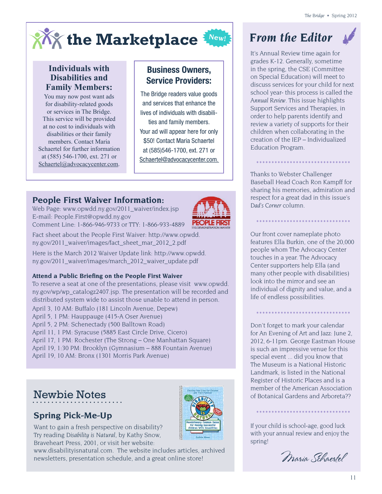

### **Individuals with Disabilities and Family Members:**

You may now post want ads for disability-related goods or services in The Bridge. This service will be provided at no cost to individuals with disabilities or their family members. Contact Maria Schaertel for further information at (585) 546-1700, ext. 271 or Schaertel@advocacycenter.com.

### Business Owners, Service Providers:

The Bridge readers value goods and services that enhance the lives of individuals with disabilities and family members. Your ad will appear here for only \$50! Contact Maria Schaertel at (585)546-1700, ext. 271 or Schaertel@advocacycenter.com.

### **People First Waiver Information:**

Web Page: www.opwdd.ny.gov/2011\_waiver/index.jsp E-mail: People.First@opwdd.ny.gov Comment Line: 1-866-946-9733 or TTY: 1-866-933-4889



Fact sheet about the People First Waiver: http://www.opwdd. ny.gov/2011\_waiver/images/fact\_sheet\_mar\_2012\_2.pdf **The 1115 Waiver** 

Here is the March 2012 Waiver Update link: http://www.opwdd. ny.gov/2011\_waiver/images/march\_2012\_waiver\_update.pdf

### **Attend a Public Brie�ng on the People First Waiver**

To reserve a seat at one of the presentations, please visit www.opwdd. •ny.gov/wp/wp\_catalogz2407.jsp. The presentation will be recorded and distributed system wide to assist those unable to attend in person.

April 3, 10 AM: Buffalo (181 Lincoln Avenue, Depew)

- April 5, 1 PM: Hauppauge (415-A Oser Avenue)
- April 5, 2 PM: Schenectady (500 Balltown Road)
- April 11, 1 PM: Syracuse (5885 East Circle Drive, Cicero)

April 17, 1 PM: Rochester (The Strong – One Manhattan Square)

- April 19, 1:30 PM: Brooklyn (Gymnasium 888 Fountain Avenue)
- April 19, 10 AM: Bronx (1301 Morris Park Avenue)

# Newbie Notes

### **Spring Pick-Me-Up**

Want to gain a fresh perspective on disability? Try reading *Disability is Natural*, by Kathy Snow, Braveheart Press, 2001, or visit her website:



www.disabilityisnatural.com. The website includes articles, archived newsletters, presentation schedule, and a great online store!

# *From the Editor*

It's Annual Review time again for grades K-12. Generally, sometime in the spring, the CSE (Committee on Special Education) will meet to discuss services for your child for next school year- this process is called the *Annual Review*. This issue highlights Support Services and Therapies, in order to help parents identify and review a variety of supports for their children when collaborating in the creation of the IEP – Individualized Education Program.

Thanks to Webster Challenger Baseball Head Coach Ron Kampff for sharing his memories, admiration and respect for a great dad in this issue's *Dad's Corner* column.

\*\*\*\*\*\*\*\*\*\*\*\*\*\*\*\*\*\*\*\*\*\*\*\*\*\*\*\*\*\*\*

\*\*\*\*\*\*\*\*\*\*\*\*\*\*\*\*\*\*\*\*\*\*\*\*\*\*\*\*\*\*\*

Our front cover nameplate photo features Ella Burkin, one of the 20,000 people whom The Advocacy Center a. The Advocacy is touches in a year. The Advocacy Center supporters help Ella (and *An opportunity in the many other people with disabilities* **EXECUS SEE AN INCREASE SEE AN INCREASE SERVICES FOR PEOPLE WITH DEVELOPMENTAL DISABILITIES FOR PEOPLE WITH DEVELOPMENTAL DISABILITIES FOR DEVELOPMENTAL DISABILITIES FOR DEVELOPMENTAL DISABILITIES FOR INCREASED FOR DEVELOP** individual of dignity and value, and a align the developmental disabilities system with New York's healthcare reformed with New York's healthcare reform and New York's healthcare reform and New York's healthcare reform and New York's healthcare reform and New Y

**The waiver will eventually provide comprehensive services for Medicaid-enrolled individuals with Don't forget to mark your calendar with**  $\frac{1}{2}$ developmental disabilities of Art and Jazz: June 2, 2012, 6-11pm. George Eastman House support services) and also under the auspice of the auspice of other states (mental health services) and also under the auspice of  $\frac{1}{2}$ special event ... did you know that The Museum is a National Historic **Example 2018 Major Reform Instant Instant Instant Instant Instant Instant Instant Instant Instant Instant Instant Instant Instant Instant Instant Instant Instant Instant Instant Instant Instant Instant Instant Instant I Improved Access to Service Access to Service Services** – Currently, access to service and is a shaped by the state agency of  $R$ with the person seeking services begins. Different processes begins a member of the American Association make access to services from multiple systems from multiple systems confusing. Using the support confusion of Botanical Gardens and Arboreta??

\*\*\*\*\*\*\*\*\*\*\*\*\*\*\*\*\*\*\*\*\*\*\*\*\*\*\*\*\*\*\*

Ensure the future sustainability of the service system.

ry common sense<br>ing soccessive<br>with bushlimes access to service across the state. The your child is school-age, good luck with your annual review and enjoy the will support compare with your annual review and enjoy the spring! individual and ensure that ensure the ensure services to meet the services of the services of the services of the services of the services of the services of the services of the services of the services of the services of level of care he or she requires or where they live in  $\mathbb{R}^n$  live in New York State.

\*\*\*\*\*\*\*\*\*\*\*\*\*\*\*\*\*\*\*\*\*\*\*\*\*\*\*\*\*\*\*

e! Care Management and Integrated Care Coordination – In management and Integrated Care Coordination – In many cases to day, no one agency of the second cases of the second cases of the second cases of the second cases of manager is responsible for a person's entire service plan, and service coordination doesn't always